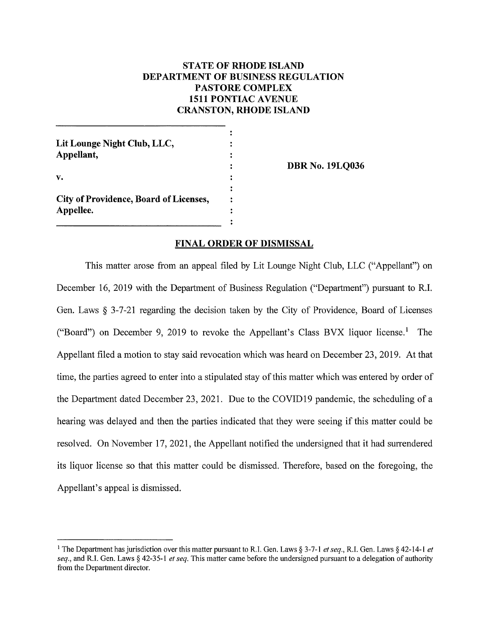# **STATE OF RHODE ISLAND DEPARTMENT OF BUSINESS REGULATION** PASTORE COMPLEX **1511 PONTIAC AVENUE CRANSTON, RHODE ISLAND**

| Lit Lounge Night Club, LLC,<br>Appellant,           |  |
|-----------------------------------------------------|--|
| v.                                                  |  |
| City of Providence, Board of Licenses,<br>Appellee. |  |
|                                                     |  |

**DBR No. 19LO036** 

## **FINAL ORDER OF DISMISSAL**

This matter arose from an appeal filed by Lit Lounge Night Club, LLC ("Appellant") on December 16, 2019 with the Department of Business Regulation ("Department") pursuant to R.I. Gen. Laws  $\S$  3-7-21 regarding the decision taken by the City of Providence, Board of Licenses ("Board") on December 9, 2019 to revoke the Appellant's Class BVX liquor license.<sup>1</sup> The Appellant filed a motion to stay said revocation which was heard on December 23, 2019. At that time, the parties agreed to enter into a stipulated stay of this matter which was entered by order of the Department dated December 23, 2021. Due to the COVID19 pandemic, the scheduling of a hearing was delayed and then the parties indicated that they were seeing if this matter could be resolved. On November 17, 2021, the Appellant notified the undersigned that it had surrendered its liquor license so that this matter could be dismissed. Therefore, based on the foregoing, the Appellant's appeal is dismissed.

<sup>&</sup>lt;sup>1</sup> The Department has jurisdiction over this matter pursuant to R.I. Gen. Laws § 3-7-1 et seq., R.I. Gen. Laws § 42-14-1 et seq., and R.I. Gen. Laws § 42-35-1 et seq. This matter came before the undersigned pursuant to a delegation of authority from the Department director.